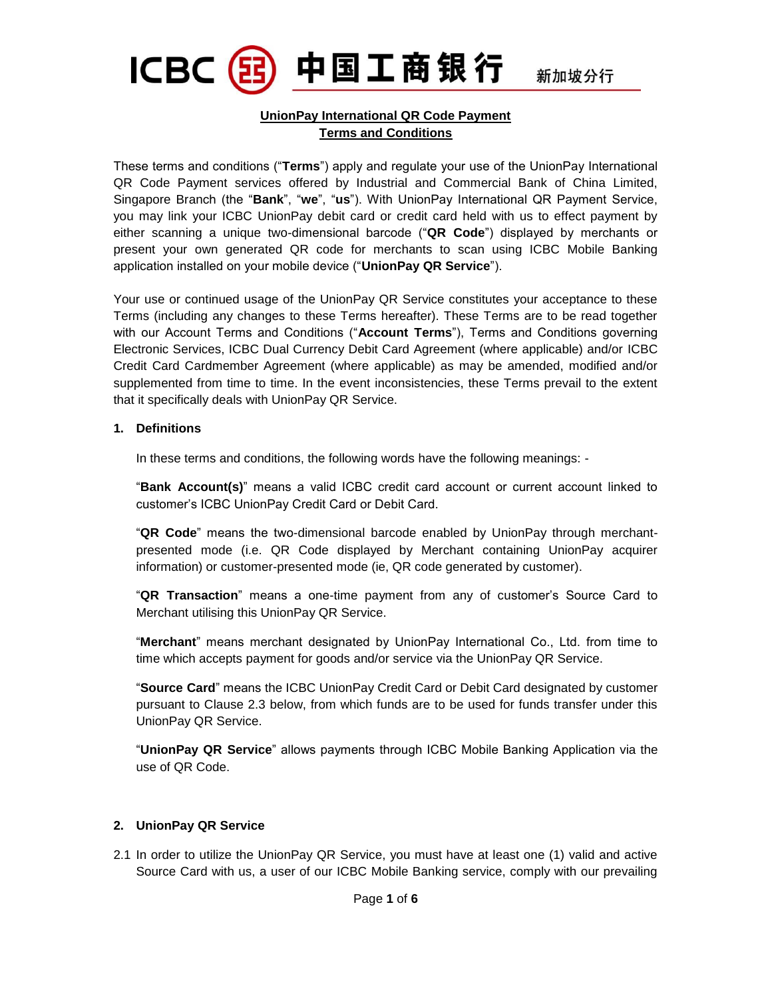

新加坡分行

# **UnionPay International QR Code Payment Terms and Conditions**

These terms and conditions ("**Terms**") apply and regulate your use of the UnionPay International QR Code Payment services offered by Industrial and Commercial Bank of China Limited, Singapore Branch (the "**Bank**", "**we**", "**us**"). With UnionPay International QR Payment Service, you may link your ICBC UnionPay debit card or credit card held with us to effect payment by either scanning a unique two-dimensional barcode ("**QR Code**") displayed by merchants or present your own generated QR code for merchants to scan using ICBC Mobile Banking application installed on your mobile device ("**UnionPay QR Service**").

Your use or continued usage of the UnionPay QR Service constitutes your acceptance to these Terms (including any changes to these Terms hereafter). These Terms are to be read together with our Account Terms and Conditions ("**Account Terms**"), Terms and Conditions governing Electronic Services, ICBC Dual Currency Debit Card Agreement (where applicable) and/or ICBC Credit Card Cardmember Agreement (where applicable) as may be amended, modified and/or supplemented from time to time. In the event inconsistencies, these Terms prevail to the extent that it specifically deals with UnionPay QR Service.

### **1. Definitions**

In these terms and conditions, the following words have the following meanings: -

"**Bank Account(s)**" means a valid ICBC credit card account or current account linked to customer's ICBC UnionPay Credit Card or Debit Card.

"**QR Code**" means the two-dimensional barcode enabled by UnionPay through merchantpresented mode (i.e. QR Code displayed by Merchant containing UnionPay acquirer information) or customer-presented mode (ie, QR code generated by customer).

"**QR Transaction**" means a one-time payment from any of customer's Source Card to Merchant utilising this UnionPay QR Service.

"**Merchant**" means merchant designated by UnionPay International Co., Ltd. from time to time which accepts payment for goods and/or service via the UnionPay QR Service.

"**Source Card**" means the ICBC UnionPay Credit Card or Debit Card designated by customer pursuant to Clause 2.3 below, from which funds are to be used for funds transfer under this UnionPay QR Service.

"**UnionPay QR Service**" allows payments through ICBC Mobile Banking Application via the use of QR Code.

# **2. UnionPay QR Service**

2.1 In order to utilize the UnionPay QR Service, you must have at least one (1) valid and active Source Card with us, a user of our ICBC Mobile Banking service, comply with our prevailing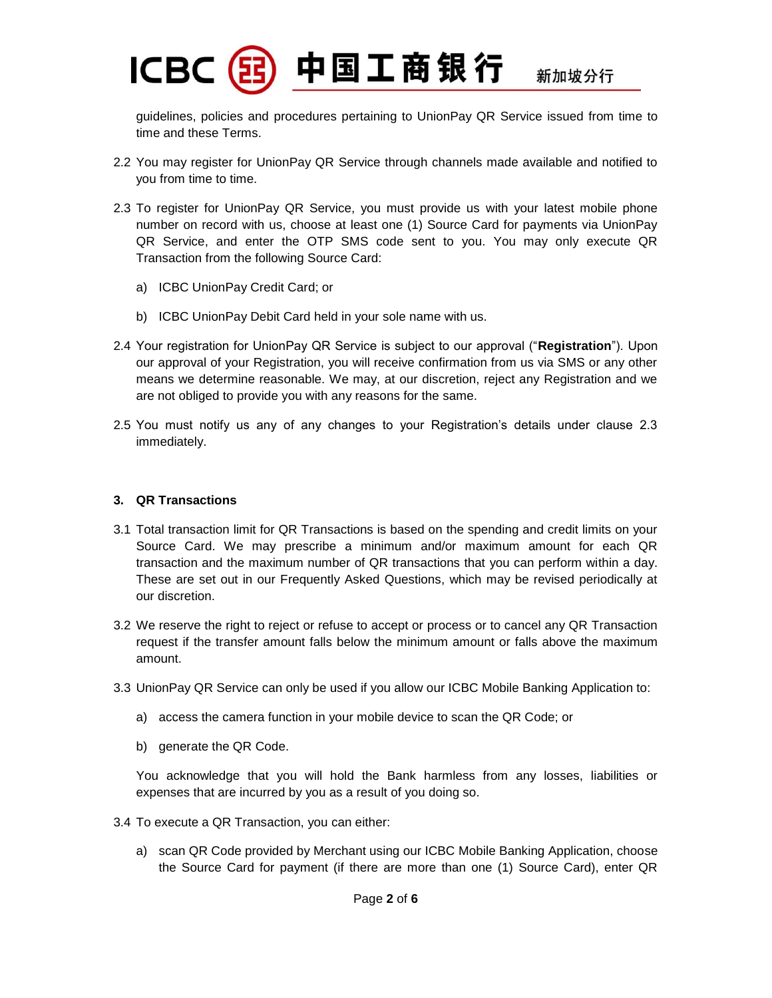

guidelines, policies and procedures pertaining to UnionPay QR Service issued from time to time and these Terms.

- 2.2 You may register for UnionPay QR Service through channels made available and notified to you from time to time.
- 2.3 To register for UnionPay QR Service, you must provide us with your latest mobile phone number on record with us, choose at least one (1) Source Card for payments via UnionPay QR Service, and enter the OTP SMS code sent to you. You may only execute QR Transaction from the following Source Card:
	- a) ICBC UnionPay Credit Card; or
	- b) ICBC UnionPay Debit Card held in your sole name with us.
- 2.4 Your registration for UnionPay QR Service is subject to our approval ("**Registration**"). Upon our approval of your Registration, you will receive confirmation from us via SMS or any other means we determine reasonable. We may, at our discretion, reject any Registration and we are not obliged to provide you with any reasons for the same.
- 2.5 You must notify us any of any changes to your Registration's details under clause 2.3 immediately.

# **3. QR Transactions**

- 3.1 Total transaction limit for QR Transactions is based on the spending and credit limits on your Source Card. We may prescribe a minimum and/or maximum amount for each QR transaction and the maximum number of QR transactions that you can perform within a day. These are set out in our Frequently Asked Questions, which may be revised periodically at our discretion.
- 3.2 We reserve the right to reject or refuse to accept or process or to cancel any QR Transaction request if the transfer amount falls below the minimum amount or falls above the maximum amount.
- 3.3 UnionPay QR Service can only be used if you allow our ICBC Mobile Banking Application to:
	- a) access the camera function in your mobile device to scan the QR Code; or
	- b) generate the QR Code.

You acknowledge that you will hold the Bank harmless from any losses, liabilities or expenses that are incurred by you as a result of you doing so.

- 3.4 To execute a QR Transaction, you can either:
	- a) scan QR Code provided by Merchant using our ICBC Mobile Banking Application, choose the Source Card for payment (if there are more than one (1) Source Card), enter QR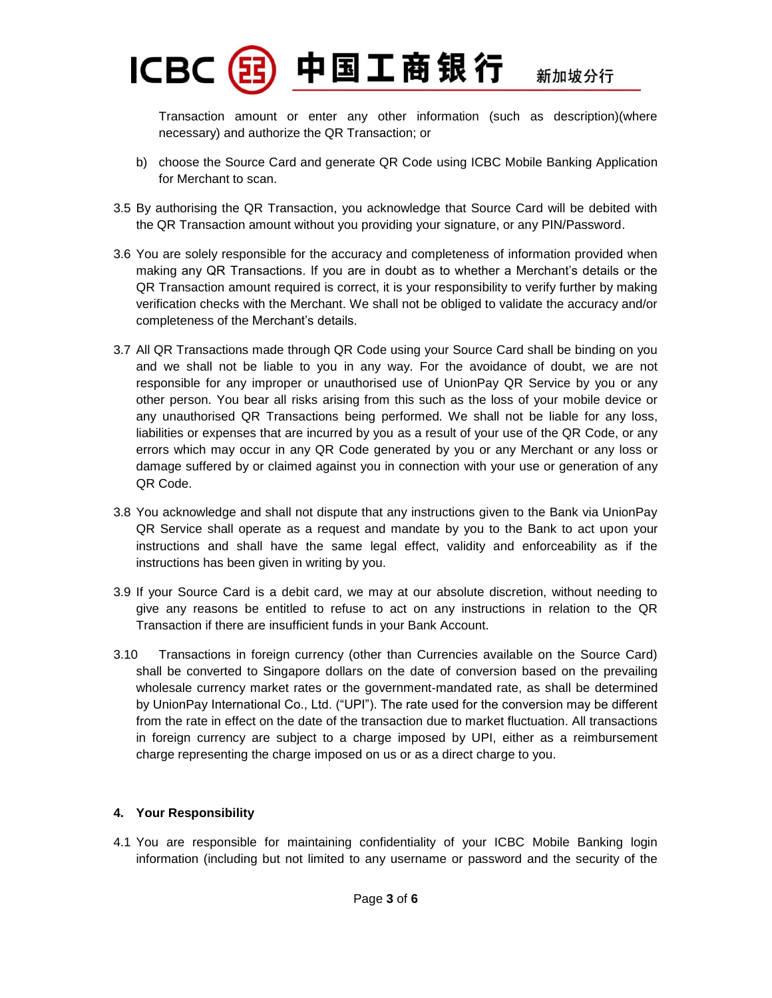

Transaction amount or enter any other information (such as description)(where necessary) and authorize the QR Transaction; or

- b) choose the Source Card and generate QR Code using ICBC Mobile Banking Application for Merchant to scan.
- 3.5 By authorising the QR Transaction, you acknowledge that Source Card will be debited with the QR Transaction amount without you providing your signature, or any PIN/Password.
- 3.6 You are solely responsible for the accuracy and completeness of information provided when making any QR Transactions. If you are in doubt as to whether a Merchant's details or the QR Transaction amount required is correct, it is your responsibility to verify further by making verification checks with the Merchant. We shall not be obliged to validate the accuracy and/or completeness of the Merchant's details.
- 3.7 All QR Transactions made through QR Code using your Source Card shall be binding on you and we shall not be liable to you in any way. For the avoidance of doubt, we are not responsible for any improper or unauthorised use of UnionPay QR Service by you or any other person. You bear all risks arising from this such as the loss of your mobile device or any unauthorised QR Transactions being performed. We shall not be liable for any loss, liabilities or expenses that are incurred by you as a result of your use of the QR Code, or any errors which may occur in any QR Code generated by you or any Merchant or any loss or damage suffered by or claimed against you in connection with your use or generation of any QR Code.
- 3.8 You acknowledge and shall not dispute that any instructions given to the Bank via UnionPay QR Service shall operate as a request and mandate by you to the Bank to act upon your instructions and shall have the same legal effect, validity and enforceability as if the instructions has been given in writing by you.
- 3.9 If your Source Card is a debit card, we may at our absolute discretion, without needing to give any reasons be entitled to refuse to act on any instructions in relation to the QR Transaction if there are insufficient funds in your Bank Account.
- 3.10 Transactions in foreign currency (other than Currencies available on the Source Card) shall be converted to Singapore dollars on the date of conversion based on the prevailing wholesale currency market rates or the government-mandated rate, as shall be determined by UnionPay International Co., Ltd. ("UPI"). The rate used for the conversion may be different from the rate in effect on the date of the transaction due to market fluctuation. All transactions in foreign currency are subject to a charge imposed by UPI, either as a reimbursement charge representing the charge imposed on us or as a direct charge to you.

# **4. Your Responsibility**

4.1 You are responsible for maintaining confidentiality of your ICBC Mobile Banking login information (including but not limited to any username or password and the security of the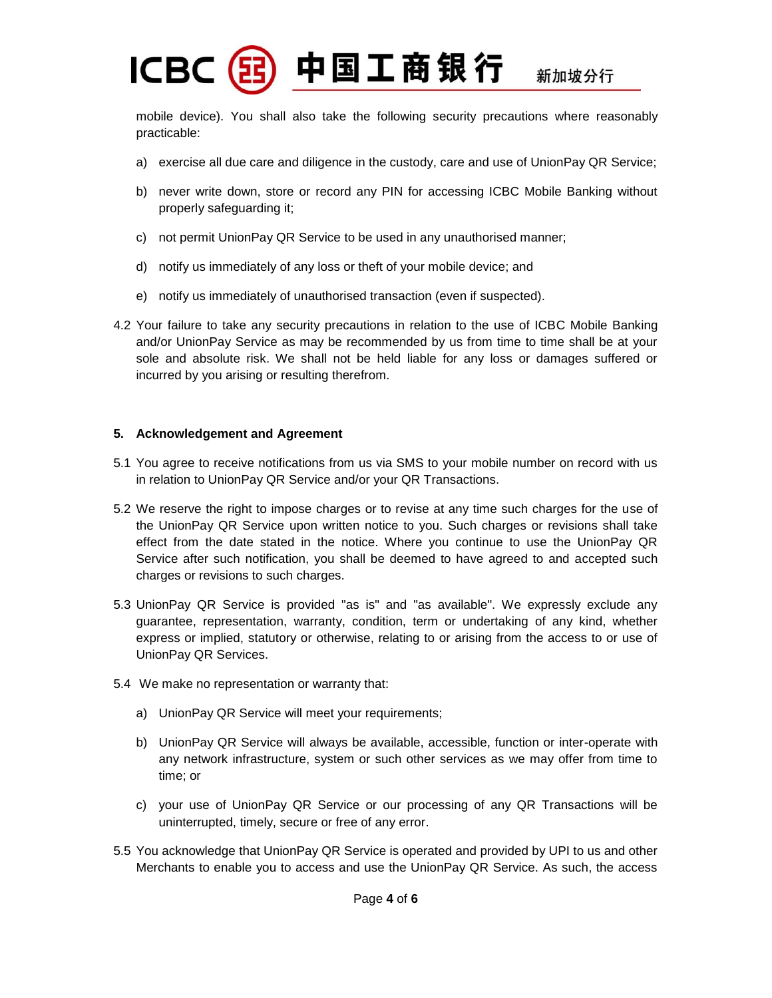

mobile device). You shall also take the following security precautions where reasonably practicable:

- a) exercise all due care and diligence in the custody, care and use of UnionPay QR Service;
- b) never write down, store or record any PIN for accessing ICBC Mobile Banking without properly safeguarding it;
- c) not permit UnionPay QR Service to be used in any unauthorised manner;
- d) notify us immediately of any loss or theft of your mobile device; and
- e) notify us immediately of unauthorised transaction (even if suspected).
- 4.2 Your failure to take any security precautions in relation to the use of ICBC Mobile Banking and/or UnionPay Service as may be recommended by us from time to time shall be at your sole and absolute risk. We shall not be held liable for any loss or damages suffered or incurred by you arising or resulting therefrom.

### **5. Acknowledgement and Agreement**

- 5.1 You agree to receive notifications from us via SMS to your mobile number on record with us in relation to UnionPay QR Service and/or your QR Transactions.
- 5.2 We reserve the right to impose charges or to revise at any time such charges for the use of the UnionPay QR Service upon written notice to you. Such charges or revisions shall take effect from the date stated in the notice. Where you continue to use the UnionPay QR Service after such notification, you shall be deemed to have agreed to and accepted such charges or revisions to such charges.
- 5.3 UnionPay QR Service is provided "as is" and "as available". We expressly exclude any guarantee, representation, warranty, condition, term or undertaking of any kind, whether express or implied, statutory or otherwise, relating to or arising from the access to or use of UnionPay QR Services.
- 5.4 We make no representation or warranty that:
	- a) UnionPay QR Service will meet your requirements;
	- b) UnionPay QR Service will always be available, accessible, function or inter-operate with any network infrastructure, system or such other services as we may offer from time to time; or
	- c) your use of UnionPay QR Service or our processing of any QR Transactions will be uninterrupted, timely, secure or free of any error.
- 5.5 You acknowledge that UnionPay QR Service is operated and provided by UPI to us and other Merchants to enable you to access and use the UnionPay QR Service. As such, the access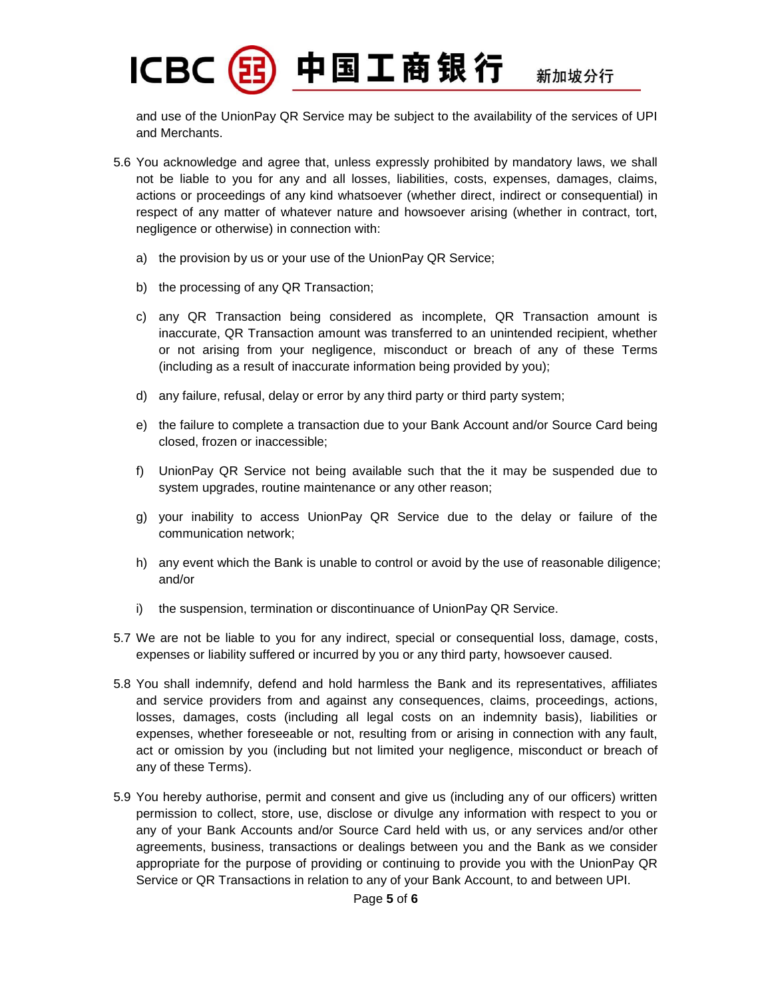

and use of the UnionPay QR Service may be subject to the availability of the services of UPI and Merchants.

- 5.6 You acknowledge and agree that, unless expressly prohibited by mandatory laws, we shall not be liable to you for any and all losses, liabilities, costs, expenses, damages, claims, actions or proceedings of any kind whatsoever (whether direct, indirect or consequential) in respect of any matter of whatever nature and howsoever arising (whether in contract, tort, negligence or otherwise) in connection with:
	- a) the provision by us or your use of the UnionPay QR Service;
	- b) the processing of any QR Transaction;
	- c) any QR Transaction being considered as incomplete, QR Transaction amount is inaccurate, QR Transaction amount was transferred to an unintended recipient, whether or not arising from your negligence, misconduct or breach of any of these Terms (including as a result of inaccurate information being provided by you);
	- d) any failure, refusal, delay or error by any third party or third party system;
	- e) the failure to complete a transaction due to your Bank Account and/or Source Card being closed, frozen or inaccessible;
	- f) UnionPay QR Service not being available such that the it may be suspended due to system upgrades, routine maintenance or any other reason;
	- g) your inability to access UnionPay QR Service due to the delay or failure of the communication network;
	- h) any event which the Bank is unable to control or avoid by the use of reasonable diligence; and/or
	- i) the suspension, termination or discontinuance of UnionPay QR Service.
- 5.7 We are not be liable to you for any indirect, special or consequential loss, damage, costs, expenses or liability suffered or incurred by you or any third party, howsoever caused.
- 5.8 You shall indemnify, defend and hold harmless the Bank and its representatives, affiliates and service providers from and against any consequences, claims, proceedings, actions, losses, damages, costs (including all legal costs on an indemnity basis), liabilities or expenses, whether foreseeable or not, resulting from or arising in connection with any fault, act or omission by you (including but not limited your negligence, misconduct or breach of any of these Terms).
- 5.9 You hereby authorise, permit and consent and give us (including any of our officers) written permission to collect, store, use, disclose or divulge any information with respect to you or any of your Bank Accounts and/or Source Card held with us, or any services and/or other agreements, business, transactions or dealings between you and the Bank as we consider appropriate for the purpose of providing or continuing to provide you with the UnionPay QR Service or QR Transactions in relation to any of your Bank Account, to and between UPI.